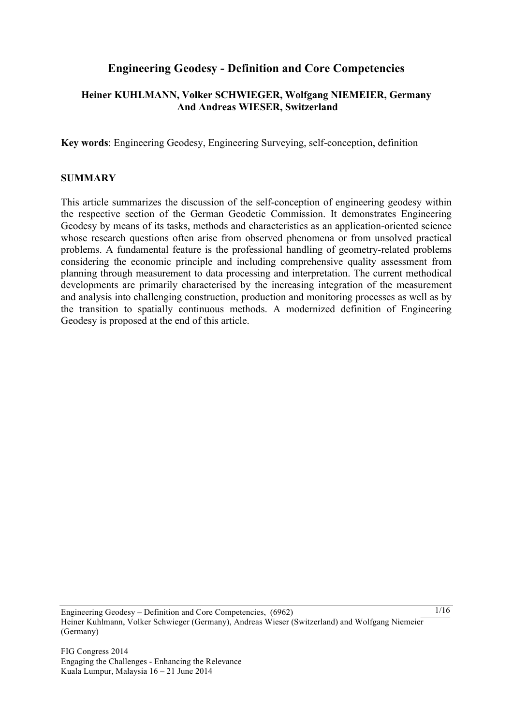# **Engineering Geodesy - Definition and Core Competencies**

### **Heiner KUHLMANN, Volker SCHWIEGER, Wolfgang NIEMEIER, Germany And Andreas WIESER, Switzerland**

**Key words**: Engineering Geodesy, Engineering Surveying, self-conception, definition

#### **SUMMARY**

This article summarizes the discussion of the self-conception of engineering geodesy within the respective section of the German Geodetic Commission. It demonstrates Engineering Geodesy by means of its tasks, methods and characteristics as an application-oriented science whose research questions often arise from observed phenomena or from unsolved practical problems. A fundamental feature is the professional handling of geometry-related problems considering the economic principle and including comprehensive quality assessment from planning through measurement to data processing and interpretation. The current methodical developments are primarily characterised by the increasing integration of the measurement and analysis into challenging construction, production and monitoring processes as well as by the transition to spatially continuous methods. A modernized definition of Engineering Geodesy is proposed at the end of this article.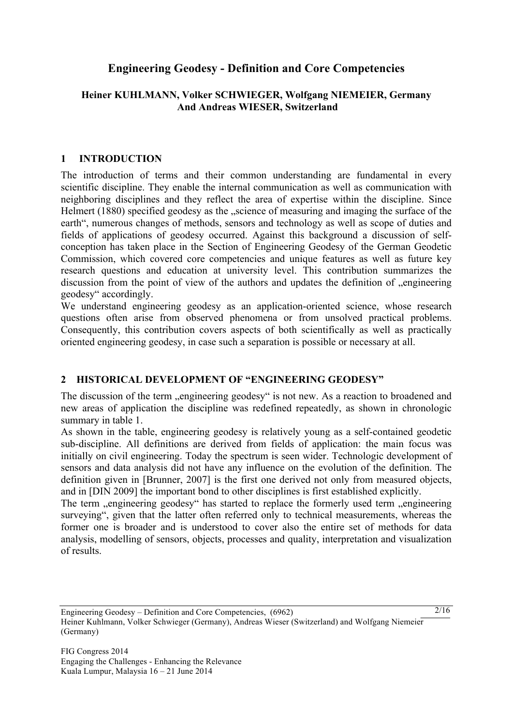# **Engineering Geodesy - Definition and Core Competencies**

#### **Heiner KUHLMANN, Volker SCHWIEGER, Wolfgang NIEMEIER, Germany And Andreas WIESER, Switzerland**

#### **1 INTRODUCTION**

The introduction of terms and their common understanding are fundamental in every scientific discipline. They enable the internal communication as well as communication with neighboring disciplines and they reflect the area of expertise within the discipline. Since Helmert (1880) specified geodesy as the "science of measuring and imaging the surface of the earth", numerous changes of methods, sensors and technology as well as scope of duties and fields of applications of geodesy occurred. Against this background a discussion of selfconception has taken place in the Section of Engineering Geodesy of the German Geodetic Commission, which covered core competencies and unique features as well as future key research questions and education at university level. This contribution summarizes the discussion from the point of view of the authors and updates the definition of "engineering geodesy" accordingly.

We understand engineering geodesy as an application-oriented science, whose research questions often arise from observed phenomena or from unsolved practical problems. Consequently, this contribution covers aspects of both scientifically as well as practically oriented engineering geodesy, in case such a separation is possible or necessary at all.

### **2 HISTORICAL DEVELOPMENT OF "ENGINEERING GEODESY"**

The discussion of the term "engineering geodesy" is not new. As a reaction to broadened and new areas of application the discipline was redefined repeatedly, as shown in chronologic summary in table 1.

As shown in the table, engineering geodesy is relatively young as a self-contained geodetic sub-discipline. All definitions are derived from fields of application: the main focus was initially on civil engineering. Today the spectrum is seen wider. Technologic development of sensors and data analysis did not have any influence on the evolution of the definition. The definition given in [Brunner, 2007] is the first one derived not only from measured objects, and in [DIN 2009] the important bond to other disciplines is first established explicitly.

The term "engineering geodesy" has started to replace the formerly used term "engineering surveying", given that the latter often referred only to technical measurements, whereas the former one is broader and is understood to cover also the entire set of methods for data analysis, modelling of sensors, objects, processes and quality, interpretation and visualization of results.

Engineering Geodesy – Definition and Core Competencies, (6962) Heiner Kuhlmann, Volker Schwieger (Germany), Andreas Wieser (Switzerland) and Wolfgang Niemeier (Germany)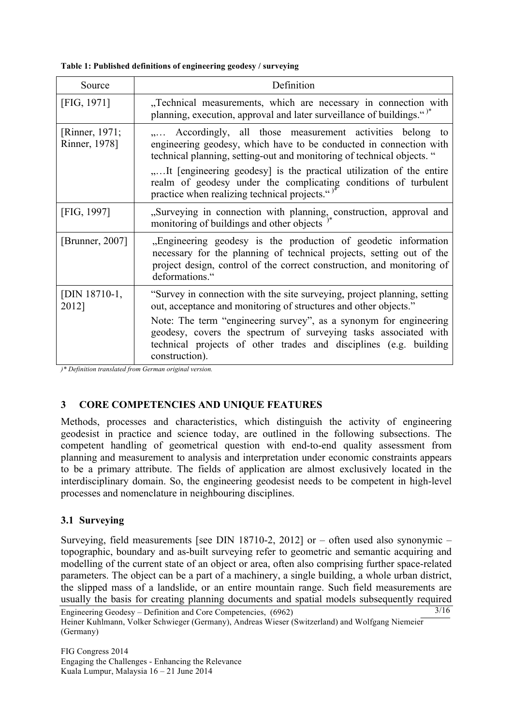#### **Table 1: Published definitions of engineering geodesy / surveying**

| Source                          | Definition                                                                                                                                                                                                                                                                                                                                                                                          |
|---------------------------------|-----------------------------------------------------------------------------------------------------------------------------------------------------------------------------------------------------------------------------------------------------------------------------------------------------------------------------------------------------------------------------------------------------|
| [FIG, 1971]                     | "Technical measurements, which are necessary in connection with<br>planning, execution, approval and later surveillance of buildings.")*                                                                                                                                                                                                                                                            |
| [Rinner, 1971;<br>Rinner, 1978] | Accordingly, all those measurement activities belong to<br>engineering geodesy, which have to be conducted in connection with<br>technical planning, setting-out and monitoring of technical objects. "<br>It [engineering geodesy] is the practical utilization of the entire<br>realm of geodesy under the complicating conditions of turbulent<br>practice when realizing technical projects.")* |
| [FIG, 1997]                     | "Surveying in connection with planning, construction, approval and<br>monitoring of buildings and other objects $\frac{1}{x}$                                                                                                                                                                                                                                                                       |
| [Brunner, $2007$ ]              | "Engineering geodesy is the production of geodetic information<br>necessary for the planning of technical projects, setting out of the<br>project design, control of the correct construction, and monitoring of<br>deformations."                                                                                                                                                                  |
| [DIN 18710-1,<br>2012]          | "Survey in connection with the site surveying, project planning, setting<br>out, acceptance and monitoring of structures and other objects."<br>Note: The term "engineering survey", as a synonym for engineering<br>geodesy, covers the spectrum of surveying tasks associated with<br>technical projects of other trades and disciplines (e.g. building<br>construction).                         |

*)\* Definition translated from German original version.*

# **3 CORE COMPETENCIES AND UNIQUE FEATURES**

Methods, processes and characteristics, which distinguish the activity of engineering geodesist in practice and science today, are outlined in the following subsections. The competent handling of geometrical question with end-to-end quality assessment from planning and measurement to analysis and interpretation under economic constraints appears to be a primary attribute. The fields of application are almost exclusively located in the interdisciplinary domain. So, the engineering geodesist needs to be competent in high-level processes and nomenclature in neighbouring disciplines.

### **3.1 Surveying**

Engineering Geodesy – Definition and Core Competencies, (6962)  $3/16$ Surveying, field measurements [see DIN 18710-2, 2012] or – often used also synonymic – topographic, boundary and as-built surveying refer to geometric and semantic acquiring and modelling of the current state of an object or area, often also comprising further space-related parameters. The object can be a part of a machinery, a single building, a whole urban district, the slipped mass of a landslide, or an entire mountain range. Such field measurements are usually the basis for creating planning documents and spatial models subsequently required

Heiner Kuhlmann, Volker Schwieger (Germany), Andreas Wieser (Switzerland) and Wolfgang Niemeier (Germany)

FIG Congress 2014 Engaging the Challenges - Enhancing the Relevance Kuala Lumpur, Malaysia 16 – 21 June 2014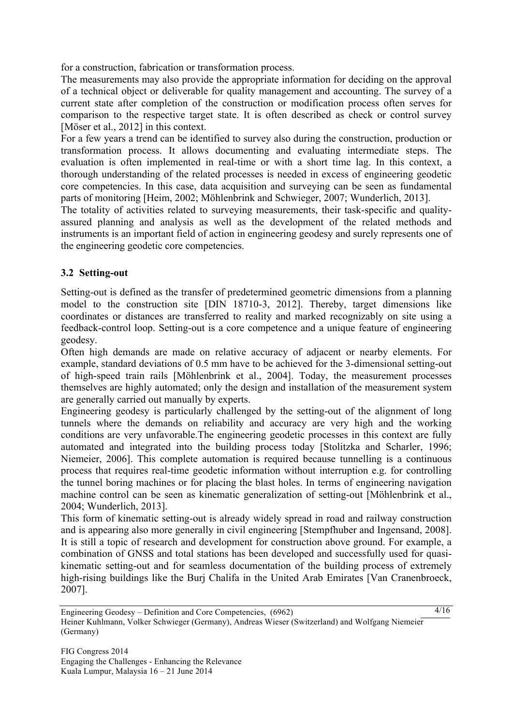for a construction, fabrication or transformation process.

The measurements may also provide the appropriate information for deciding on the approval of a technical object or deliverable for quality management and accounting. The survey of a current state after completion of the construction or modification process often serves for comparison to the respective target state. It is often described as check or control survey [Möser et al., 2012] in this context.

For a few years a trend can be identified to survey also during the construction, production or transformation process. It allows documenting and evaluating intermediate steps. The evaluation is often implemented in real-time or with a short time lag. In this context, a thorough understanding of the related processes is needed in excess of engineering geodetic core competencies. In this case, data acquisition and surveying can be seen as fundamental parts of monitoring [Heim, 2002; Möhlenbrink and Schwieger, 2007; Wunderlich, 2013].

The totality of activities related to surveying measurements, their task-specific and qualityassured planning and analysis as well as the development of the related methods and instruments is an important field of action in engineering geodesy and surely represents one of the engineering geodetic core competencies.

### **3.2 Setting-out**

Setting-out is defined as the transfer of predetermined geometric dimensions from a planning model to the construction site [DIN 18710-3, 2012]. Thereby, target dimensions like coordinates or distances are transferred to reality and marked recognizably on site using a feedback-control loop. Setting-out is a core competence and a unique feature of engineering geodesy.

Often high demands are made on relative accuracy of adjacent or nearby elements. For example, standard deviations of 0.5 mm have to be achieved for the 3-dimensional setting-out of high-speed train rails [Möhlenbrink et al., 2004]. Today, the measurement processes themselves are highly automated; only the design and installation of the measurement system are generally carried out manually by experts.

Engineering geodesy is particularly challenged by the setting-out of the alignment of long tunnels where the demands on reliability and accuracy are very high and the working conditions are very unfavorable.The engineering geodetic processes in this context are fully automated and integrated into the building process today [Stolitzka and Scharler, 1996; Niemeier, 2006]. This complete automation is required because tunnelling is a continuous process that requires real-time geodetic information without interruption e.g. for controlling the tunnel boring machines or for placing the blast holes. In terms of engineering navigation machine control can be seen as kinematic generalization of setting-out [Möhlenbrink et al., 2004; Wunderlich, 2013].

This form of kinematic setting-out is already widely spread in road and railway construction and is appearing also more generally in civil engineering [Stempfhuber and Ingensand, 2008]. It is still a topic of research and development for construction above ground. For example, a combination of GNSS and total stations has been developed and successfully used for quasikinematic setting-out and for seamless documentation of the building process of extremely high-rising buildings like the Burj Chalifa in the United Arab Emirates [Van Cranenbroeck, 2007].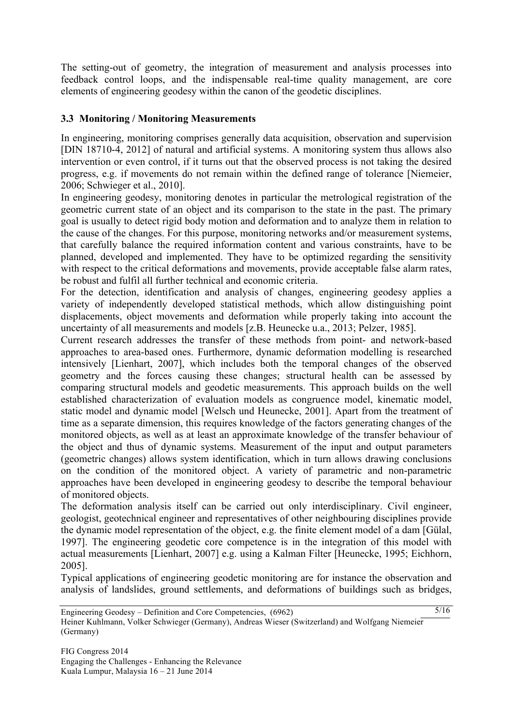The setting-out of geometry, the integration of measurement and analysis processes into feedback control loops, and the indispensable real-time quality management, are core elements of engineering geodesy within the canon of the geodetic disciplines.

### **3.3 Monitoring / Monitoring Measurements**

In engineering, monitoring comprises generally data acquisition, observation and supervision [DIN 18710-4, 2012] of natural and artificial systems. A monitoring system thus allows also intervention or even control, if it turns out that the observed process is not taking the desired progress, e.g. if movements do not remain within the defined range of tolerance [Niemeier, 2006; Schwieger et al., 2010].

In engineering geodesy, monitoring denotes in particular the metrological registration of the geometric current state of an object and its comparison to the state in the past. The primary goal is usually to detect rigid body motion and deformation and to analyze them in relation to the cause of the changes. For this purpose, monitoring networks and/or measurement systems, that carefully balance the required information content and various constraints, have to be planned, developed and implemented. They have to be optimized regarding the sensitivity with respect to the critical deformations and movements, provide acceptable false alarm rates, be robust and fulfil all further technical and economic criteria.

For the detection, identification and analysis of changes, engineering geodesy applies a variety of independently developed statistical methods, which allow distinguishing point displacements, object movements and deformation while properly taking into account the uncertainty of all measurements and models [z.B. Heunecke u.a., 2013; Pelzer, 1985].

Current research addresses the transfer of these methods from point- and network-based approaches to area-based ones. Furthermore, dynamic deformation modelling is researched intensively [Lienhart, 2007], which includes both the temporal changes of the observed geometry and the forces causing these changes; structural health can be assessed by comparing structural models and geodetic measurements. This approach builds on the well established characterization of evaluation models as congruence model, kinematic model, static model and dynamic model [Welsch und Heunecke, 2001]. Apart from the treatment of time as a separate dimension, this requires knowledge of the factors generating changes of the monitored objects, as well as at least an approximate knowledge of the transfer behaviour of the object and thus of dynamic systems. Measurement of the input and output parameters (geometric changes) allows system identification, which in turn allows drawing conclusions on the condition of the monitored object. A variety of parametric and non-parametric approaches have been developed in engineering geodesy to describe the temporal behaviour of monitored objects.

The deformation analysis itself can be carried out only interdisciplinary. Civil engineer, geologist, geotechnical engineer and representatives of other neighbouring disciplines provide the dynamic model representation of the object, e.g. the finite element model of a dam [Gülal, 1997]. The engineering geodetic core competence is in the integration of this model with actual measurements [Lienhart, 2007] e.g. using a Kalman Filter [Heunecke, 1995; Eichhorn, 2005].

Typical applications of engineering geodetic monitoring are for instance the observation and analysis of landslides, ground settlements, and deformations of buildings such as bridges,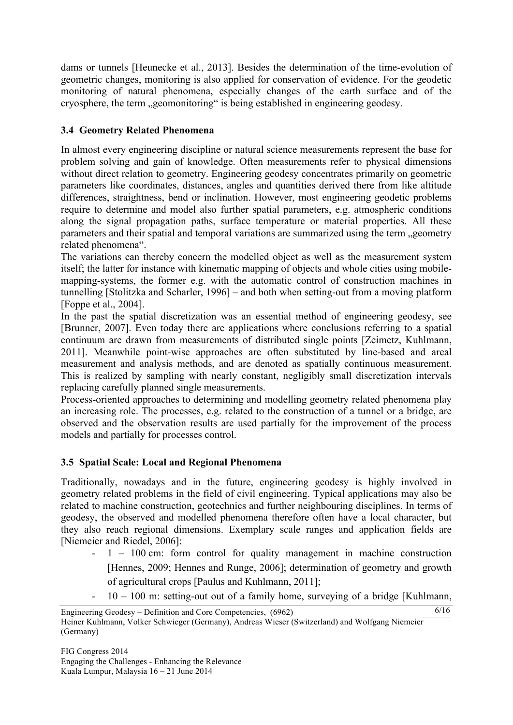dams or tunnels [Heunecke et al., 2013]. Besides the determination of the time-evolution of geometric changes, monitoring is also applied for conservation of evidence. For the geodetic monitoring of natural phenomena, especially changes of the earth surface and of the cryosphere, the term ...geomonitoring " is being established in engineering geodesy.

### **3.4 Geometry Related Phenomena**

In almost every engineering discipline or natural science measurements represent the base for problem solving and gain of knowledge. Often measurements refer to physical dimensions without direct relation to geometry. Engineering geodesy concentrates primarily on geometric parameters like coordinates, distances, angles and quantities derived there from like altitude differences, straightness, bend or inclination. However, most engineering geodetic problems require to determine and model also further spatial parameters, e.g. atmospheric conditions along the signal propagation paths, surface temperature or material properties. All these parameters and their spatial and temporal variations are summarized using the term "geometry related phenomena".

The variations can thereby concern the modelled object as well as the measurement system itself; the latter for instance with kinematic mapping of objects and whole cities using mobilemapping-systems, the former e.g. with the automatic control of construction machines in tunnelling [Stolitzka and Scharler, 1996] – and both when setting-out from a moving platform [Foppe et al., 2004].

In the past the spatial discretization was an essential method of engineering geodesy, see [Brunner, 2007]. Even today there are applications where conclusions referring to a spatial continuum are drawn from measurements of distributed single points [Zeimetz, Kuhlmann, 2011]. Meanwhile point-wise approaches are often substituted by line-based and areal measurement and analysis methods, and are denoted as spatially continuous measurement. This is realized by sampling with nearly constant, negligibly small discretization intervals replacing carefully planned single measurements.

Process-oriented approaches to determining and modelling geometry related phenomena play an increasing role. The processes, e.g. related to the construction of a tunnel or a bridge, are observed and the observation results are used partially for the improvement of the process models and partially for processes control.

### **3.5 Spatial Scale: Local and Regional Phenomena**

Traditionally, nowadays and in the future, engineering geodesy is highly involved in geometry related problems in the field of civil engineering. Typical applications may also be related to machine construction, geotechnics and further neighbouring disciplines. In terms of geodesy, the observed and modelled phenomena therefore often have a local character, but they also reach regional dimensions. Exemplary scale ranges and application fields are [Niemeier and Riedel, 2006]:

- 1 100 cm: form control for quality management in machine construction [Hennes, 2009; Hennes and Runge, 2006]; determination of geometry and growth of agricultural crops [Paulus and Kuhlmann, 2011];
- 10 100 m: setting-out out of a family home, surveying of a bridge [Kuhlmann,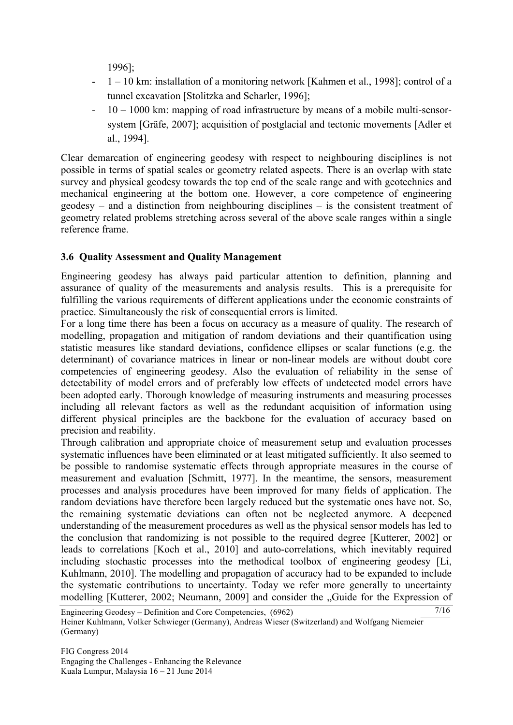1996];

- 1 10 km: installation of a monitoring network [Kahmen et al., 1998]; control of a tunnel excavation [Stolitzka and Scharler, 1996];
- 10 1000 km: mapping of road infrastructure by means of a mobile multi-sensorsystem [Gräfe, 2007]; acquisition of postglacial and tectonic movements [Adler et al., 1994].

Clear demarcation of engineering geodesy with respect to neighbouring disciplines is not possible in terms of spatial scales or geometry related aspects. There is an overlap with state survey and physical geodesy towards the top end of the scale range and with geotechnics and mechanical engineering at the bottom one. However, a core competence of engineering geodesy – and a distinction from neighbouring disciplines – is the consistent treatment of geometry related problems stretching across several of the above scale ranges within a single reference frame.

### **3.6 Quality Assessment and Quality Management**

Engineering geodesy has always paid particular attention to definition, planning and assurance of quality of the measurements and analysis results. This is a prerequisite for fulfilling the various requirements of different applications under the economic constraints of practice. Simultaneously the risk of consequential errors is limited.

For a long time there has been a focus on accuracy as a measure of quality. The research of modelling, propagation and mitigation of random deviations and their quantification using statistic measures like standard deviations, confidence ellipses or scalar functions (e.g. the determinant) of covariance matrices in linear or non-linear models are without doubt core competencies of engineering geodesy. Also the evaluation of reliability in the sense of detectability of model errors and of preferably low effects of undetected model errors have been adopted early. Thorough knowledge of measuring instruments and measuring processes including all relevant factors as well as the redundant acquisition of information using different physical principles are the backbone for the evaluation of accuracy based on precision and reability.

Through calibration and appropriate choice of measurement setup and evaluation processes systematic influences have been eliminated or at least mitigated sufficiently. It also seemed to be possible to randomise systematic effects through appropriate measures in the course of measurement and evaluation [Schmitt, 1977]. In the meantime, the sensors, measurement processes and analysis procedures have been improved for many fields of application. The random deviations have therefore been largely reduced but the systematic ones have not. So, the remaining systematic deviations can often not be neglected anymore. A deepened understanding of the measurement procedures as well as the physical sensor models has led to the conclusion that randomizing is not possible to the required degree [Kutterer, 2002] or leads to correlations [Koch et al., 2010] and auto-correlations, which inevitably required including stochastic processes into the methodical toolbox of engineering geodesy [Li, Kuhlmann, 2010]. The modelling and propagation of accuracy had to be expanded to include the systematic contributions to uncertainty. Today we refer more generally to uncertainty modelling [Kutterer, 2002; Neumann, 2009] and consider the "Guide for the Expression of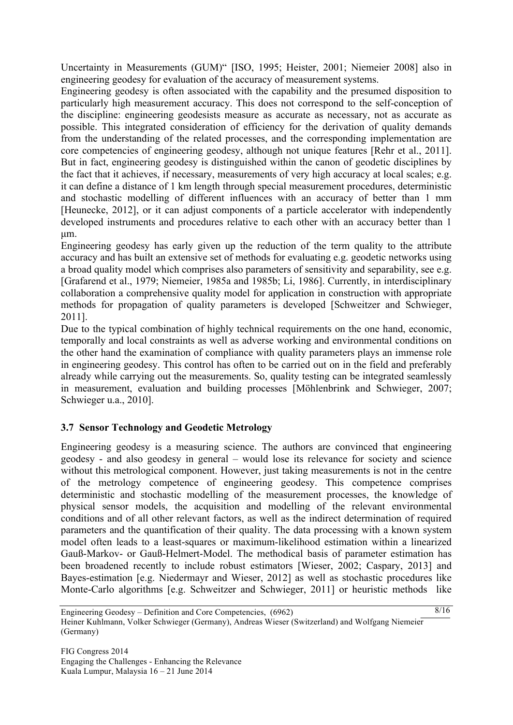Uncertainty in Measurements (GUM)" [ISO, 1995; Heister, 2001; Niemeier 2008] also in engineering geodesy for evaluation of the accuracy of measurement systems.

Engineering geodesy is often associated with the capability and the presumed disposition to particularly high measurement accuracy. This does not correspond to the self-conception of the discipline: engineering geodesists measure as accurate as necessary, not as accurate as possible. This integrated consideration of efficiency for the derivation of quality demands from the understanding of the related processes, and the corresponding implementation are core competencies of engineering geodesy, although not unique features [Rehr et al., 2011]. But in fact, engineering geodesy is distinguished within the canon of geodetic disciplines by the fact that it achieves, if necessary, measurements of very high accuracy at local scales; e.g. it can define a distance of 1 km length through special measurement procedures, deterministic and stochastic modelling of different influences with an accuracy of better than 1 mm [Heunecke, 2012], or it can adjust components of a particle accelerator with independently developed instruments and procedures relative to each other with an accuracy better than 1 µm.

Engineering geodesy has early given up the reduction of the term quality to the attribute accuracy and has built an extensive set of methods for evaluating e.g. geodetic networks using a broad quality model which comprises also parameters of sensitivity and separability, see e.g. [Grafarend et al., 1979; Niemeier, 1985a and 1985b; Li, 1986]. Currently, in interdisciplinary collaboration a comprehensive quality model for application in construction with appropriate methods for propagation of quality parameters is developed [Schweitzer and Schwieger, 2011].

Due to the typical combination of highly technical requirements on the one hand, economic, temporally and local constraints as well as adverse working and environmental conditions on the other hand the examination of compliance with quality parameters plays an immense role in engineering geodesy. This control has often to be carried out on in the field and preferably already while carrying out the measurements. So, quality testing can be integrated seamlessly in measurement, evaluation and building processes [Möhlenbrink and Schwieger, 2007; Schwieger u.a., 2010].

# **3.7 Sensor Technology and Geodetic Metrology**

Engineering geodesy is a measuring science. The authors are convinced that engineering geodesy - and also geodesy in general – would lose its relevance for society and science without this metrological component. However, just taking measurements is not in the centre of the metrology competence of engineering geodesy. This competence comprises deterministic and stochastic modelling of the measurement processes, the knowledge of physical sensor models, the acquisition and modelling of the relevant environmental conditions and of all other relevant factors, as well as the indirect determination of required parameters and the quantification of their quality. The data processing with a known system model often leads to a least-squares or maximum-likelihood estimation within a linearized Gauß-Markov- or Gauß-Helmert-Model. The methodical basis of parameter estimation has been broadened recently to include robust estimators [Wieser, 2002; Caspary, 2013] and Bayes-estimation [e.g. Niedermayr and Wieser, 2012] as well as stochastic procedures like Monte-Carlo algorithms [e.g. Schweitzer and Schwieger, 2011] or heuristic methods like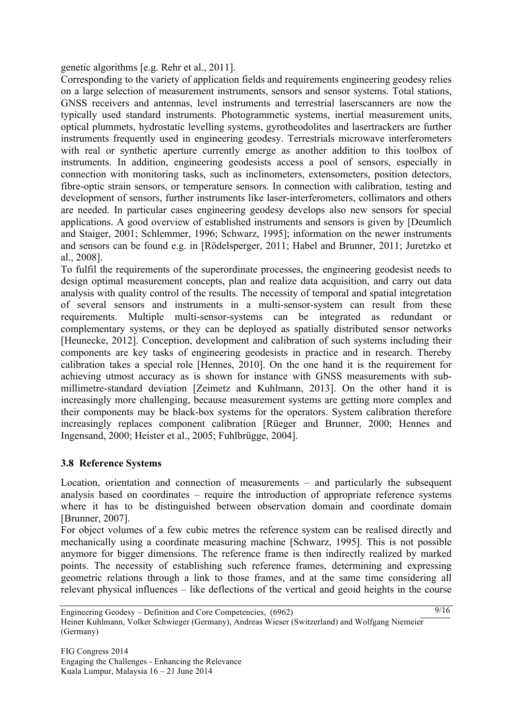genetic algorithms [e.g. Rehr et al., 2011].

Corresponding to the variety of application fields and requirements engineering geodesy relies on a large selection of measurement instruments, sensors and sensor systems. Total stations, GNSS receivers and antennas, level instruments and terrestrial laserscanners are now the typically used standard instruments. Photogrammetic systems, inertial measurement units, optical plummets, hydrostatic levelling systems, gyrotheodolites and lasertrackers are further instruments frequently used in engineering geodesy. Terrestrials microwave interferometers with real or synthetic aperture currently emerge as another addition to this toolbox of instruments. In addition, engineering geodesists access a pool of sensors, especially in connection with monitoring tasks, such as inclinometers, extensometers, position detectors, fibre-optic strain sensors, or temperature sensors. In connection with calibration, testing and development of sensors, further instruments like laser-interferometers, collimators and others are needed. In particular cases engineering geodesy develops also new sensors for special applications. A good overview of established instruments and sensors is given by [Deumlich and Staiger, 2001; Schlemmer, 1996; Schwarz, 1995]; information on the newer instruments and sensors can be found e.g. in [Rödelsperger, 2011; Habel and Brunner, 2011; Juretzko et al., 2008].

To fulfil the requirements of the superordinate processes, the engineering geodesist needs to design optimal measurement concepts, plan and realize data acquisition, and carry out data analysis with quality control of the results. The necessity of temporal and spatial integretation of several sensors and instruments in a multi-sensor-system can result from these requirements. Multiple multi-sensor-systems can be integrated as redundant or complementary systems, or they can be deployed as spatially distributed sensor networks [Heunecke, 2012]. Conception, development and calibration of such systems including their components are key tasks of engineering geodesists in practice and in research. Thereby calibration takes a special role [Hennes, 2010]. On the one hand it is the requirement for achieving utmost accuracy as is shown for instance with GNSS measurements with submillimetre-standard deviation [Zeimetz and Kuhlmann, 2013]. On the other hand it is increasingly more challenging, because measurement systems are getting more complex and their components may be black-box systems for the operators. System calibration therefore increasingly replaces component calibration [Rüeger and Brunner, 2000; Hennes and Ingensand, 2000; Heister et al., 2005; Fuhlbrügge, 2004].

### **3.8 Reference Systems**

Location, orientation and connection of measurements – and particularly the subsequent analysis based on coordinates – require the introduction of appropriate reference systems where it has to be distinguished between observation domain and coordinate domain [Brunner, 2007].

For object volumes of a few cubic metres the reference system can be realised directly and mechanically using a coordinate measuring machine [Schwarz, 1995]. This is not possible anymore for bigger dimensions. The reference frame is then indirectly realized by marked points. The necessity of establishing such reference frames, determining and expressing geometric relations through a link to those frames, and at the same time considering all relevant physical influences – like deflections of the vertical and geoid heights in the course

Engineering Geodesy – Definition and Core Competencies, (6962) Heiner Kuhlmann, Volker Schwieger (Germany), Andreas Wieser (Switzerland) and Wolfgang Niemeier (Germany)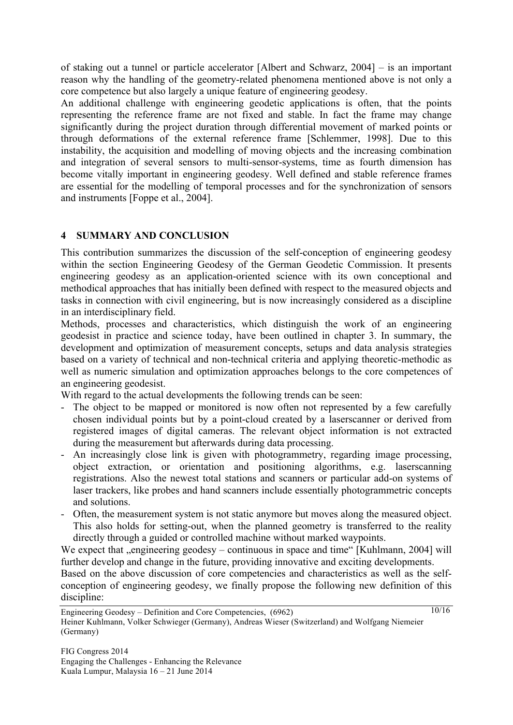of staking out a tunnel or particle accelerator [Albert and Schwarz, 2004] – is an important reason why the handling of the geometry-related phenomena mentioned above is not only a core competence but also largely a unique feature of engineering geodesy.

An additional challenge with engineering geodetic applications is often, that the points representing the reference frame are not fixed and stable. In fact the frame may change significantly during the project duration through differential movement of marked points or through deformations of the external reference frame [Schlemmer, 1998]. Due to this instability, the acquisition and modelling of moving objects and the increasing combination and integration of several sensors to multi-sensor-systems, time as fourth dimension has become vitally important in engineering geodesy. Well defined and stable reference frames are essential for the modelling of temporal processes and for the synchronization of sensors and instruments [Foppe et al., 2004].

### **4 SUMMARY AND CONCLUSION**

This contribution summarizes the discussion of the self-conception of engineering geodesy within the section Engineering Geodesy of the German Geodetic Commission. It presents engineering geodesy as an application-oriented science with its own conceptional and methodical approaches that has initially been defined with respect to the measured objects and tasks in connection with civil engineering, but is now increasingly considered as a discipline in an interdisciplinary field.

Methods, processes and characteristics, which distinguish the work of an engineering geodesist in practice and science today, have been outlined in chapter 3. In summary, the development and optimization of measurement concepts, setups and data analysis strategies based on a variety of technical and non-technical criteria and applying theoretic-methodic as well as numeric simulation and optimization approaches belongs to the core competences of an engineering geodesist.

With regard to the actual developments the following trends can be seen:

- The object to be mapped or monitored is now often not represented by a few carefully chosen individual points but by a point-cloud created by a laserscanner or derived from registered images of digital cameras. The relevant object information is not extracted during the measurement but afterwards during data processing.
- An increasingly close link is given with photogrammetry, regarding image processing, object extraction, or orientation and positioning algorithms, e.g. laserscanning registrations. Also the newest total stations and scanners or particular add-on systems of laser trackers, like probes and hand scanners include essentially photogrammetric concepts and solutions.
- Often, the measurement system is not static anymore but moves along the measured object. This also holds for setting-out, when the planned geometry is transferred to the reality directly through a guided or controlled machine without marked waypoints.

We expect that "engineering geodesy – continuous in space and time" [Kuhlmann, 2004] will further develop and change in the future, providing innovative and exciting developments.

Based on the above discussion of core competencies and characteristics as well as the selfconception of engineering geodesy, we finally propose the following new definition of this discipline: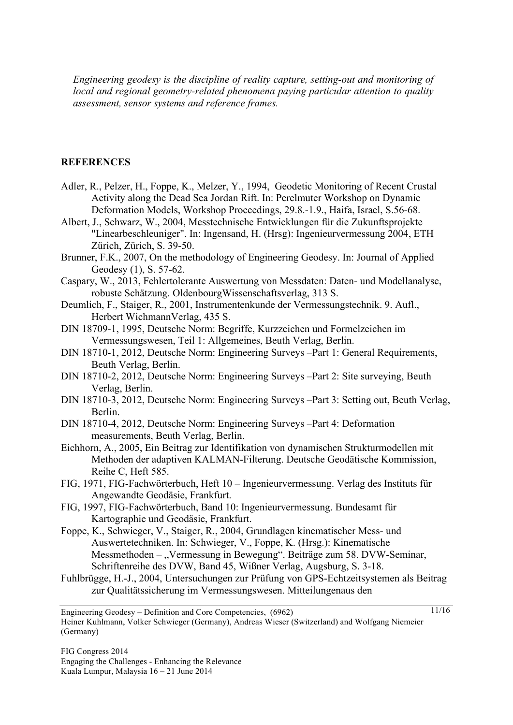*Engineering geodesy is the discipline of reality capture, setting-out and monitoring of local and regional geometry-related phenomena paying particular attention to quality assessment, sensor systems and reference frames.*

#### **REFERENCES**

- Adler, R., Pelzer, H., Foppe, K., Melzer, Y., 1994, Geodetic Monitoring of Recent Crustal Activity along the Dead Sea Jordan Rift. In: Perelmuter Workshop on Dynamic Deformation Models, Workshop Proceedings, 29.8.-1.9., Haifa, Israel, S.56-68.
- Albert, J., Schwarz, W., 2004, Messtechnische Entwicklungen für die Zukunftsprojekte "Linearbeschleuniger". In: Ingensand, H. (Hrsg): Ingenieurvermessung 2004, ETH Zürich, Zürich, S. 39-50.
- Brunner, F.K., 2007, On the methodology of Engineering Geodesy. In: Journal of Applied Geodesy (1), S. 57-62.
- Caspary, W., 2013, Fehlertolerante Auswertung von Messdaten: Daten- und Modellanalyse, robuste Schätzung. OldenbourgWissenschaftsverlag, 313 S.
- Deumlich, F., Staiger, R., 2001, Instrumentenkunde der Vermessungstechnik. 9. Aufl., Herbert WichmannVerlag, 435 S.
- DIN 18709-1, 1995, Deutsche Norm: Begriffe, Kurzzeichen und Formelzeichen im Vermessungswesen, Teil 1: Allgemeines, Beuth Verlag, Berlin.
- DIN 18710-1, 2012, Deutsche Norm: Engineering Surveys –Part 1: General Requirements, Beuth Verlag, Berlin.
- DIN 18710-2, 2012, Deutsche Norm: Engineering Surveys –Part 2: Site surveying, Beuth Verlag, Berlin.
- DIN 18710-3, 2012, Deutsche Norm: Engineering Surveys –Part 3: Setting out, Beuth Verlag, Berlin.
- DIN 18710-4, 2012, Deutsche Norm: Engineering Surveys –Part 4: Deformation measurements, Beuth Verlag, Berlin.
- Eichhorn, A., 2005, Ein Beitrag zur Identifikation von dynamischen Strukturmodellen mit Methoden der adaptiven KALMAN-Filterung. Deutsche Geodätische Kommission, Reihe C, Heft 585.
- FIG, 1971, FIG-Fachwörterbuch, Heft 10 Ingenieurvermessung. Verlag des Instituts für Angewandte Geodäsie, Frankfurt.
- FIG, 1997, FIG-Fachwörterbuch, Band 10: Ingenieurvermessung. Bundesamt für Kartographie und Geodäsie, Frankfurt.
- Foppe, K., Schwieger, V., Staiger, R., 2004, Grundlagen kinematischer Mess- und Auswertetechniken. In: Schwieger, V., Foppe, K. (Hrsg.): Kinematische Messmethoden – "Vermessung in Bewegung". Beiträge zum 58. DVW-Seminar, Schriftenreihe des DVW, Band 45, Wißner Verlag, Augsburg, S. 3-18.
- Fuhlbrügge, H.-J., 2004, Untersuchungen zur Prüfung von GPS-Echtzeitsystemen als Beitrag zur Qualitätssicherung im Vermessungswesen. Mitteilungenaus den

Engineering Geodesy – Definition and Core Competencies, (6962) Heiner Kuhlmann, Volker Schwieger (Germany), Andreas Wieser (Switzerland) and Wolfgang Niemeier (Germany)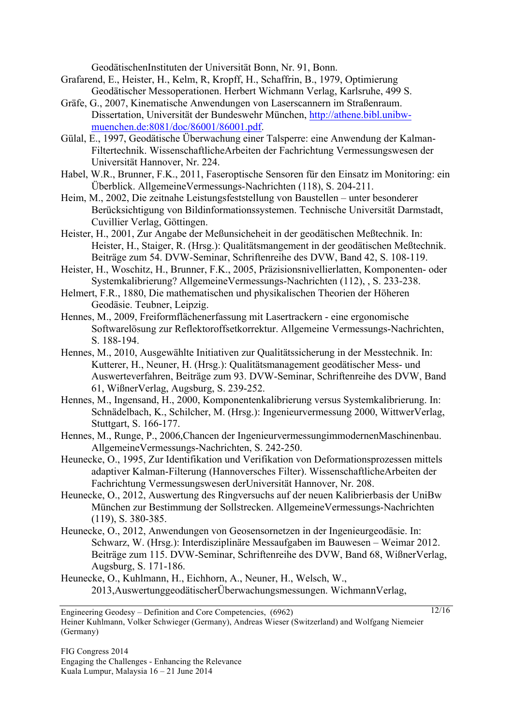GeodätischenInstituten der Universität Bonn, Nr. 91, Bonn.

- Grafarend, E., Heister, H., Kelm, R, Kropff, H., Schaffrin, B., 1979, Optimierung Geodätischer Messoperationen. Herbert Wichmann Verlag, Karlsruhe, 499 S.
- Gräfe, G., 2007, Kinematische Anwendungen von Laserscannern im Straßenraum. Dissertation, Universität der Bundeswehr München, http://athene.bibl.unibwmuenchen.de:8081/doc/86001/86001.pdf.
- Gülal, E., 1997, Geodätische Überwachung einer Talsperre: eine Anwendung der Kalman-Filtertechnik. WissenschaftlicheArbeiten der Fachrichtung Vermessungswesen der Universität Hannover, Nr. 224.
- Habel, W.R., Brunner, F.K., 2011, Faseroptische Sensoren für den Einsatz im Monitoring: ein Überblick. AllgemeineVermessungs-Nachrichten (118), S. 204-211.
- Heim, M., 2002, Die zeitnahe Leistungsfeststellung von Baustellen unter besonderer Berücksichtigung von Bildinformationssystemen. Technische Universität Darmstadt, Cuvillier Verlag, Göttingen.
- Heister, H., 2001, Zur Angabe der Meßunsicheheit in der geodätischen Meßtechnik. In: Heister, H., Staiger, R. (Hrsg.): Qualitätsmangement in der geodätischen Meßtechnik. Beiträge zum 54. DVW-Seminar, Schriftenreihe des DVW, Band 42, S. 108-119.
- Heister, H., Woschitz, H., Brunner, F.K., 2005, Präzisionsnivellierlatten, Komponenten- oder Systemkalibrierung? AllgemeineVermessungs-Nachrichten (112), , S. 233-238.
- Helmert, F.R., 1880, Die mathematischen und physikalischen Theorien der Höheren Geodäsie. Teubner, Leipzig.
- Hennes, M., 2009, Freiformflächenerfassung mit Lasertrackern eine ergonomische Softwarelösung zur Reflektoroffsetkorrektur. Allgemeine Vermessungs-Nachrichten, S. 188-194.
- Hennes, M., 2010, Ausgewählte Initiativen zur Qualitätssicherung in der Messtechnik. In: Kutterer, H., Neuner, H. (Hrsg.): Qualitätsmanagement geodätischer Mess- und Auswerteverfahren, Beiträge zum 93. DVW-Seminar, Schriftenreihe des DVW, Band 61, WißnerVerlag, Augsburg, S. 239-252.
- Hennes, M., Ingensand, H., 2000, Komponentenkalibrierung versus Systemkalibrierung. In: Schnädelbach, K., Schilcher, M. (Hrsg.): Ingenieurvermessung 2000, WittwerVerlag, Stuttgart, S. 166-177.
- Hennes, M., Runge, P., 2006,Chancen der IngenieurvermessungimmodernenMaschinenbau. AllgemeineVermessungs-Nachrichten, S. 242-250.
- Heunecke, O., 1995, Zur Identifikation und Verifikation von Deformationsprozessen mittels adaptiver Kalman-Filterung (Hannoversches Filter). WissenschaftlicheArbeiten der Fachrichtung Vermessungswesen derUniversität Hannover, Nr. 208.
- Heunecke, O., 2012, Auswertung des Ringversuchs auf der neuen Kalibrierbasis der UniBw München zur Bestimmung der Sollstrecken. AllgemeineVermessungs-Nachrichten (119), S. 380-385.
- Heunecke, O., 2012, Anwendungen von Geosensornetzen in der Ingenieurgeodäsie. In: Schwarz, W. (Hrsg.): Interdisziplinäre Messaufgaben im Bauwesen – Weimar 2012. Beiträge zum 115. DVW-Seminar, Schriftenreihe des DVW, Band 68, WißnerVerlag, Augsburg, S. 171-186.
- Heunecke, O., Kuhlmann, H., Eichhorn, A., Neuner, H., Welsch, W., 2013,AuswertunggeodätischerÜberwachungsmessungen. WichmannVerlag,

Engineering Geodesy – Definition and Core Competencies, (6962) Heiner Kuhlmann, Volker Schwieger (Germany), Andreas Wieser (Switzerland) and Wolfgang Niemeier (Germany)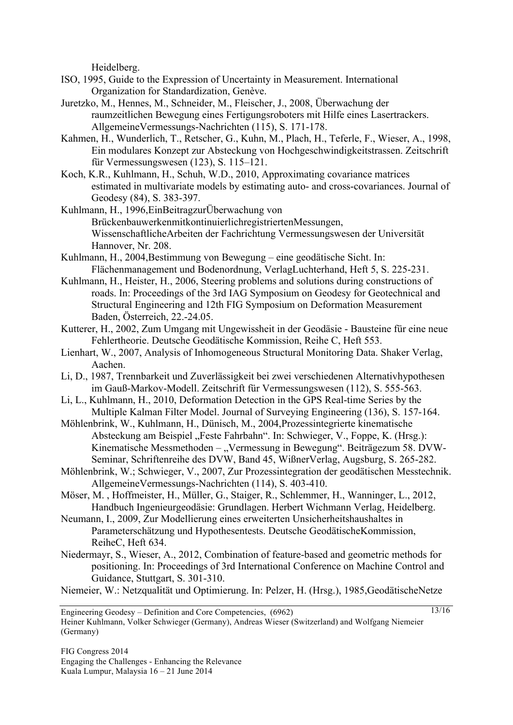Heidelberg.

- ISO, 1995, Guide to the Expression of Uncertainty in Measurement. International Organization for Standardization, Genève.
- Juretzko, M., Hennes, M., Schneider, M., Fleischer, J., 2008, Überwachung der raumzeitlichen Bewegung eines Fertigungsroboters mit Hilfe eines Lasertrackers. AllgemeineVermessungs-Nachrichten (115), S. 171-178.
- Kahmen, H., Wunderlich, T., Retscher, G., Kuhn, M., Plach, H., Teferle, F., Wieser, A., 1998, Ein modulares Konzept zur Absteckung von Hochgeschwindigkeitstrassen. Zeitschrift für Vermessungswesen (123), S. 115–121.
- Koch, K.R., Kuhlmann, H., Schuh, W.D., 2010, Approximating covariance matrices estimated in multivariate models by estimating auto- and cross-covariances. Journal of Geodesy (84), S. 383-397.
- Kuhlmann, H., 1996,EinBeitragzurÜberwachung von BrückenbauwerkenmitkontinuierlichregistriertenMessungen, WissenschaftlicheArbeiten der Fachrichtung Vermessungswesen der Universität Hannover, Nr. 208.
- Kuhlmann, H., 2004,Bestimmung von Bewegung eine geodätische Sicht. In: Flächenmanagement und Bodenordnung, VerlagLuchterhand, Heft 5, S. 225-231.
- Kuhlmann, H., Heister, H., 2006, Steering problems and solutions during constructions of roads. In: Proceedings of the 3rd IAG Symposium on Geodesy for Geotechnical and Structural Engineering and 12th FIG Symposium on Deformation Measurement Baden, Österreich, 22.-24.05.
- Kutterer, H., 2002, Zum Umgang mit Ungewissheit in der Geodäsie Bausteine für eine neue Fehlertheorie. Deutsche Geodätische Kommission, Reihe C, Heft 553.
- Lienhart, W., 2007, Analysis of Inhomogeneous Structural Monitoring Data. Shaker Verlag, Aachen.
- Li, D., 1987, Trennbarkeit und Zuverlässigkeit bei zwei verschiedenen Alternativhypothesen im Gauß-Markov-Modell. Zeitschrift für Vermessungswesen (112), S. 555-563.
- Li, L., Kuhlmann, H., 2010, Deformation Detection in the GPS Real-time Series by the Multiple Kalman Filter Model. Journal of Surveying Engineering (136), S. 157-164.
- Möhlenbrink, W., Kuhlmann, H., Dünisch, M., 2004,Prozessintegrierte kinematische Absteckung am Beispiel "Feste Fahrbahn". In: Schwieger, V., Foppe, K. (Hrsg.): Kinematische Messmethoden – "Vermessung in Bewegung". Beiträgezum 58. DVW-Seminar, Schriftenreihe des DVW, Band 45, WißnerVerlag, Augsburg, S. 265-282.
- Möhlenbrink, W.; Schwieger, V., 2007, Zur Prozessintegration der geodätischen Messtechnik. AllgemeineVermessungs-Nachrichten (114), S. 403-410.
- Möser, M. , Hoffmeister, H., Müller, G., Staiger, R., Schlemmer, H., Wanninger, L., 2012, Handbuch Ingenieurgeodäsie: Grundlagen. Herbert Wichmann Verlag, Heidelberg.
- Neumann, I., 2009, Zur Modellierung eines erweiterten Unsicherheitshaushaltes in Parameterschätzung und Hypothesentests. Deutsche GeodätischeKommission, ReiheC, Heft 634.
- Niedermayr, S., Wieser, A., 2012, Combination of feature-based and geometric methods for positioning. In: Proceedings of 3rd International Conference on Machine Control and Guidance, Stuttgart, S. 301-310.
- Niemeier, W.: Netzqualität und Optimierung. In: Pelzer, H. (Hrsg.), 1985,GeodätischeNetze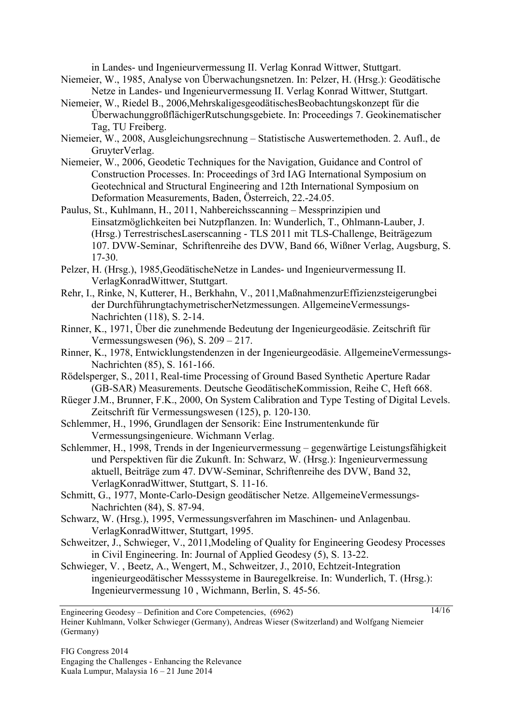in Landes- und Ingenieurvermessung II. Verlag Konrad Wittwer, Stuttgart.

- Niemeier, W., 1985, Analyse von Überwachungsnetzen. In: Pelzer, H. (Hrsg.): Geodätische Netze in Landes- und Ingenieurvermessung II. Verlag Konrad Wittwer, Stuttgart.
- Niemeier, W., Riedel B., 2006,MehrskaligesgeodätischesBeobachtungskonzept für die ÜberwachunggroßflächigerRutschungsgebiete. In: Proceedings 7. Geokinematischer Tag, TU Freiberg.
- Niemeier, W., 2008, Ausgleichungsrechnung Statistische Auswertemethoden. 2. Aufl., de GruyterVerlag.
- Niemeier, W., 2006, Geodetic Techniques for the Navigation, Guidance and Control of Construction Processes. In: Proceedings of 3rd IAG International Symposium on Geotechnical and Structural Engineering and 12th International Symposium on Deformation Measurements, Baden, Österreich, 22.-24.05.
- Paulus, St., Kuhlmann, H., 2011, Nahbereichsscanning Messprinzipien und Einsatzmöglichkeiten bei Nutzpflanzen. In: Wunderlich, T., Ohlmann-Lauber, J. (Hrsg.) TerrestrischesLaserscanning - TLS 2011 mit TLS-Challenge, Beiträgezum 107. DVW-Seminar, Schriftenreihe des DVW, Band 66, Wißner Verlag, Augsburg, S. 17-30.
- Pelzer, H. (Hrsg.), 1985,GeodätischeNetze in Landes- und Ingenieurvermessung II. VerlagKonradWittwer, Stuttgart.
- Rehr, I., Rinke, N, Kutterer, H., Berkhahn, V., 2011,MaßnahmenzurEffizienzsteigerungbei der DurchführungtachymetrischerNetzmessungen. AllgemeineVermessungs-Nachrichten (118), S. 2-14.
- Rinner, K., 1971, Über die zunehmende Bedeutung der Ingenieurgeodäsie. Zeitschrift für Vermessungswesen (96), S. 209 – 217.
- Rinner, K., 1978, Entwicklungstendenzen in der Ingenieurgeodäsie. AllgemeineVermessungs-Nachrichten (85), S. 161-166.
- Rödelsperger, S., 2011, Real-time Processing of Ground Based Synthetic Aperture Radar (GB-SAR) Measurements. Deutsche GeodätischeKommission, Reihe C, Heft 668.
- Rüeger J.M., Brunner, F.K., 2000, On System Calibration and Type Testing of Digital Levels. Zeitschrift für Vermessungswesen (125), p. 120-130.
- Schlemmer, H., 1996, Grundlagen der Sensorik: Eine Instrumentenkunde für Vermessungsingenieure. Wichmann Verlag.
- Schlemmer, H., 1998, Trends in der Ingenieurvermessung gegenwärtige Leistungsfähigkeit und Perspektiven für die Zukunft. In: Schwarz, W. (Hrsg.): Ingenieurvermessung aktuell, Beiträge zum 47. DVW-Seminar, Schriftenreihe des DVW, Band 32, VerlagKonradWittwer, Stuttgart, S. 11-16.
- Schmitt, G., 1977, Monte-Carlo-Design geodätischer Netze. AllgemeineVermessungs-Nachrichten (84), S. 87-94.
- Schwarz, W. (Hrsg.), 1995, Vermessungsverfahren im Maschinen- und Anlagenbau. VerlagKonradWittwer, Stuttgart, 1995.
- Schweitzer, J., Schwieger, V., 2011, Modeling of Quality for Engineering Geodesy Processes in Civil Engineering. In: Journal of Applied Geodesy (5), S. 13-22.

14/16

Schwieger, V. , Beetz, A., Wengert, M., Schweitzer, J., 2010, Echtzeit-Integration ingenieurgeodätischer Messsysteme in Bauregelkreise. In: Wunderlich, T. (Hrsg.): Ingenieurvermessung 10 , Wichmann, Berlin, S. 45-56.

Engineering Geodesy – Definition and Core Competencies, (6962) Heiner Kuhlmann, Volker Schwieger (Germany), Andreas Wieser (Switzerland) and Wolfgang Niemeier (Germany)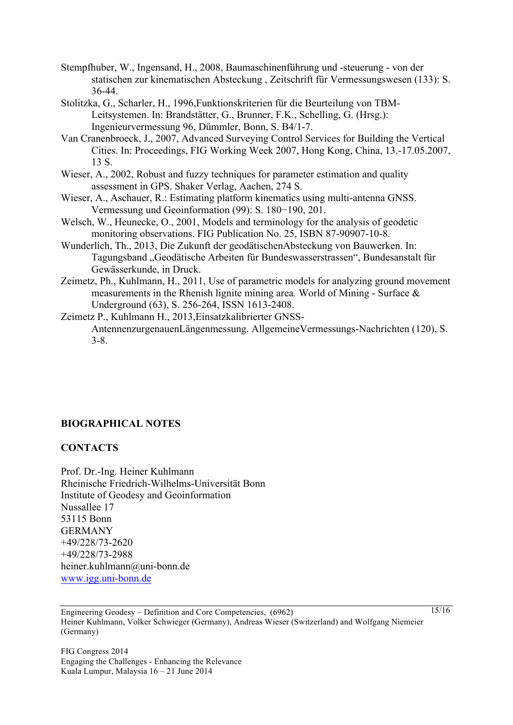Stempfhuber, W., Ingensand, H., 2008, Baumaschinenführung und -steuerung - von der statischen zur kinematischen Absteckung , Zeitschrift für Vermessungswesen (133): S. 36-44.

- Stolitzka, G., Scharler, H., 1996,Funktionskriterien für die Beurteilung von TBM-Leitsystemen. In: Brandstätter, G., Brunner, F.K., Schelling, G. (Hrsg.): Ingenieurvermessung 96, Dümmler, Bonn, S. B4/1-7.
- Van Cranenbroeck, J., 2007, Advanced Surveying Control Services for Building the Vertical Cities. In: Proceedings, FIG Working Week 2007, Hong Kong, China, 13.-17.05.2007, 13 S.
- Wieser, A., 2002, Robust and fuzzy techniques for parameter estimation and quality assessment in GPS. Shaker Verlag, Aachen, 274 S.
- Wieser, A., Aschauer, R.: Estimating platform kinematics using multi-antenna GNSS. Vermessung und Geoinformation (99): S. 180−190, 201.
- Welsch, W., Heunecke, O., 2001, Models and terminology for the analysis of geodetic monitoring observations. FIG Publication No. 25, ISBN 87-90907-10-8.
- Wunderlich, Th., 2013, Die Zukunft der geodätischenAbsteckung von Bauwerken. In: Tagungsband "Geodätische Arbeiten für Bundeswasserstrassen", Bundesanstalt für Gewässerkunde, in Druck.
- Zeimetz, Ph., Kuhlmann, H., 2011, Use of parametric models for analyzing ground movement measurements in the Rhenish lignite mining area*.* World of Mining - Surface & Underground (63), S. 256-264, ISSN 1613-2408.
- Zeimetz P., Kuhlmann H., 2013,Einsatzkalibrierter GNSS-AntennenzurgenauenLängenmessung. AllgemeineVermessungs-Nachrichten (120), S. 3-8.

### **BIOGRAPHICAL NOTES**

#### **CONTACTS**

Prof. Dr.-Ing. Heiner Kuhlmann Rheinische Friedrich-Wilhelms-Universität Bonn Institute of Geodesy and Geoinformation Nussallee 17 53115 Bonn GERMANY +49/228/73-2620 +49/228/73-2988 heiner.kuhlmann@uni-bonn.de www.igg.uni-bonn.de

Engineering Geodesy – Definition and Core Competencies, (6962) Heiner Kuhlmann, Volker Schwieger (Germany), Andreas Wieser (Switzerland) and Wolfgang Niemeier (Germany)

FIG Congress 2014 Engaging the Challenges - Enhancing the Relevance Kuala Lumpur, Malaysia 16 – 21 June 2014

15/16